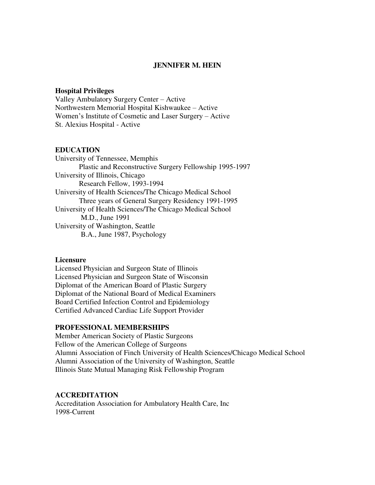### **JENNIFER M. HEIN**

### **Hospital Privileges**

Valley Ambulatory Surgery Center – Active Northwestern Memorial Hospital Kishwaukee – Active Women's Institute of Cosmetic and Laser Surgery – Active St. Alexius Hospital - Active

#### **EDUCATION**

University of Tennessee, Memphis Plastic and Reconstructive Surgery Fellowship 1995-1997 University of Illinois, Chicago Research Fellow, 1993-1994 University of Health Sciences/The Chicago Medical School Three years of General Surgery Residency 1991-1995 University of Health Sciences/The Chicago Medical School M.D., June 1991 University of Washington, Seattle B.A., June 1987, Psychology

### **Licensure**

Licensed Physician and Surgeon State of Illinois Licensed Physician and Surgeon State of Wisconsin Diplomat of the American Board of Plastic Surgery Diplomat of the National Board of Medical Examiners Board Certified Infection Control and Epidemiology Certified Advanced Cardiac Life Support Provider

### **PROFESSIONAL MEMBERSHIPS**

Member American Society of Plastic Surgeons Fellow of the American College of Surgeons Alumni Association of Finch University of Health Sciences/Chicago Medical School Alumni Association of the University of Washington, Seattle Illinois State Mutual Managing Risk Fellowship Program

### **ACCREDITATION**

Accreditation Association for Ambulatory Health Care, Inc 1998-Current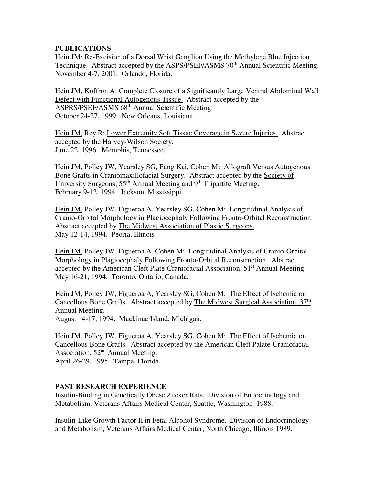# **PUBLICATIONS**

Hein JM: Re-Excision of a Dorsal Wrist Ganglion Using the Methylene Blue Injection Technique. Abstract accepted by the ASPS/PSEF/ASMS 70<sup>th</sup> Annual Scientific Meeting. November 4-7, 2001. Orlando, Florida.

Hein JM, Koffron A: Complete Closure of a Significantly Large Ventral Abdominal Wall Defect with Functional Autogenous Tissue. Abstract accepted by the ASPRS/PSEF/ASMS 68<sup>th</sup> Annual Scientific Meeting. October 24-27, 1999. New Orleans, Louisiana.

Hein JM, Rey R: Lower Extremity Soft Tissue Coverage in Severe Injuries. Abstract accepted by the Harvey-Wilson Society. June 22, 1996. Memphis, Tennessee.

Hein JM, Polley JW, Yearsley SG, Fung Kai, Cohen M: Allograft Versus Autogenous Bone Grafts in Craniomaxillofacial Surgery. Abstract accepted by the Society of University Surgeons,  $55<sup>th</sup>$  Annual Meeting and  $9<sup>th</sup>$  Tripartite Meeting. February 9-12, 1994. Jackson, Mississippi

Hein JM, Polley JW, Figueroa A, Yearsley SG, Cohen M: Longitudinal Analysis of Cranio-Orbital Morphology in Plagiocephaly Following Fronto-Orbital Reconstruction. Abstract accepted by The Midwest Association of Plastic Surgeons. May 12-14, 1994. Peoria, Illinois

Hein JM, Polley JW, Figueroa A, Cohen M: Longitudinal Analysis of Cranio-Orbital Morphology in Plagiocephaly Following Fronto-Orbital Reconstruction. Abstract accepted by the American Cleft Plate-Craniofacial Association, 51<sup>st</sup> Annual Meeting. May 16-21, 1994. Toronto, Ontario, Canada.

Hein JM, Polley JW, Figueroa A, Yearsley SG, Cohen M: The Effect of Ischemia on Cancellous Bone Grafts. Abstract accepted by The Midwest Surgical Association, 37th Annual Meeting.

August 14-17, 1994. Mackinac Island, Michigan.

Hein JM, Polley JW, Figueroa A, Yearsley SG, Cohen M: The Effect of Ischemia on Cancellous Bone Grafts. Abstract accepted by the American Cleft Palate-Craniofacial Association, 52nd Annual Meeting.

April 26-29, 1995. Tampa, Florida.

## **PAST RESEARCH EXPERIENCE**

Insulin-Binding in Genetically Obese Zucker Rats. Division of Endocrinology and Metabolism, Veterans Affairs Medical Center, Seattle, Washington 1988.

Insulin-Like Growth Factor II in Fetal Alcohol Syndrome. Division of Endocrinology and Metabolism, Veterans Affairs Medical Center, North Chicago, Illinois 1989.